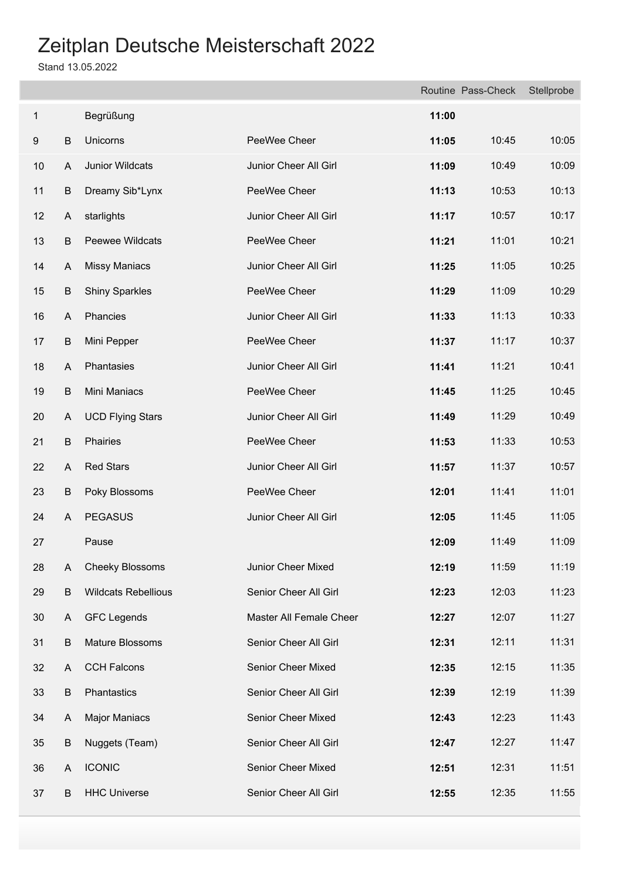|    |         |                            |                         |       | Routine Pass-Check | Stellprobe |
|----|---------|----------------------------|-------------------------|-------|--------------------|------------|
| 1  |         | Begrüßung                  |                         | 11:00 |                    |            |
| 9  | $\sf B$ | Unicorns                   | PeeWee Cheer            | 11:05 | 10:45              | 10:05      |
| 10 | A       | Junior Wildcats            | Junior Cheer All Girl   | 11:09 | 10:49              | 10:09      |
| 11 | B       | Dreamy Sib*Lynx            | PeeWee Cheer            | 11:13 | 10:53              | 10:13      |
| 12 | A       | starlights                 | Junior Cheer All Girl   | 11:17 | 10:57              | 10:17      |
| 13 | B       | Peewee Wildcats            | PeeWee Cheer            | 11:21 | 11:01              | 10:21      |
| 14 | A       | <b>Missy Maniacs</b>       | Junior Cheer All Girl   | 11:25 | 11:05              | 10:25      |
| 15 | B       | <b>Shiny Sparkles</b>      | PeeWee Cheer            | 11:29 | 11:09              | 10:29      |
| 16 | A       | Phancies                   | Junior Cheer All Girl   | 11:33 | 11:13              | 10:33      |
| 17 | B       | Mini Pepper                | PeeWee Cheer            | 11:37 | 11:17              | 10:37      |
| 18 | A       | Phantasies                 | Junior Cheer All Girl   | 11:41 | 11:21              | 10:41      |
| 19 | B       | Mini Maniacs               | PeeWee Cheer            | 11:45 | 11:25              | 10:45      |
| 20 | A       | <b>UCD Flying Stars</b>    | Junior Cheer All Girl   | 11:49 | 11:29              | 10:49      |
| 21 | B       | Phairies                   | PeeWee Cheer            | 11:53 | 11:33              | 10:53      |
| 22 | A       | <b>Red Stars</b>           | Junior Cheer All Girl   | 11:57 | 11:37              | 10:57      |
| 23 | B       | Poky Blossoms              | PeeWee Cheer            | 12:01 | 11:41              | 11:01      |
| 24 | A       | <b>PEGASUS</b>             | Junior Cheer All Girl   | 12:05 | 11:45              | 11:05      |
| 27 |         | Pause                      |                         | 12:09 | 11:49              | 11:09      |
| 28 | A       | <b>Cheeky Blossoms</b>     | Junior Cheer Mixed      | 12:19 | 11:59              | 11:19      |
| 29 | B       | <b>Wildcats Rebellious</b> | Senior Cheer All Girl   | 12:23 | 12:03              | 11:23      |
| 30 | A       | <b>GFC Legends</b>         | Master All Female Cheer | 12:27 | 12:07              | 11:27      |
| 31 | B       | Mature Blossoms            | Senior Cheer All Girl   | 12:31 | 12:11              | 11:31      |
| 32 | A       | <b>CCH Falcons</b>         | Senior Cheer Mixed      | 12:35 | 12:15              | 11:35      |
| 33 | B       | Phantastics                | Senior Cheer All Girl   | 12:39 | 12:19              | 11:39      |
| 34 | A       | <b>Major Maniacs</b>       | Senior Cheer Mixed      | 12:43 | 12:23              | 11:43      |
| 35 | B       | Nuggets (Team)             | Senior Cheer All Girl   | 12:47 | 12:27              | 11:47      |
| 36 | A       | <b>ICONIC</b>              | Senior Cheer Mixed      | 12:51 | 12:31              | 11:51      |
| 37 | B       | <b>HHC Universe</b>        | Senior Cheer All Girl   | 12:55 | 12:35              | 11:55      |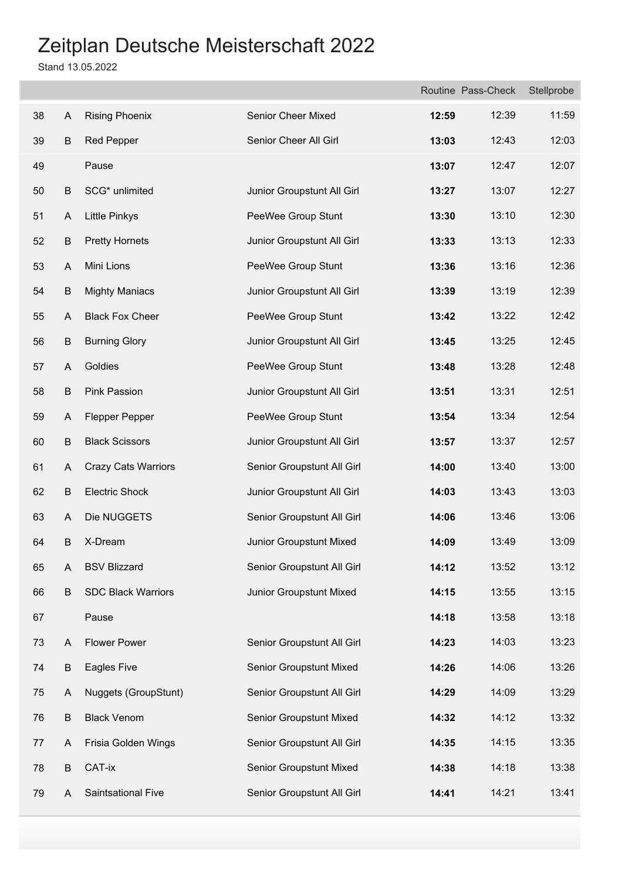|    |   |                            |                            |       | Routine Pass-Check | Stellprobe |
|----|---|----------------------------|----------------------------|-------|--------------------|------------|
| 38 | A | <b>Rising Phoenix</b>      | Senior Cheer Mixed         | 12:59 | 12:39              | 11:59      |
| 39 | B | <b>Red Pepper</b>          | Senior Cheer All Girl      | 13:03 | 12:43              | 12:03      |
| 49 |   | Pause                      |                            | 13:07 | 12:47              | 12:07      |
| 50 | B | SCG* unlimited             | Junior Groupstunt All Girl | 13:27 | 13:07              | 12:27      |
| 51 | A | <b>Little Pinkys</b>       | PeeWee Group Stunt         | 13:30 | 13:10              | 12:30      |
| 52 | B | <b>Pretty Hornets</b>      | Junior Groupstunt All Girl | 13:33 | 13:13              | 12:33      |
| 53 | A | Mini Lions                 | PeeWee Group Stunt         | 13:36 | 13:16              | 12:36      |
| 54 | B | <b>Mighty Maniacs</b>      | Junior Groupstunt All Girl | 13:39 | 13:19              | 12:39      |
| 55 | A | <b>Black Fox Cheer</b>     | PeeWee Group Stunt         | 13:42 | 13:22              | 12:42      |
| 56 | B | <b>Burning Glory</b>       | Junior Groupstunt All Girl | 13:45 | 13:25              | 12:45      |
| 57 | A | Goldies                    | PeeWee Group Stunt         | 13:48 | 13:28              | 12:48      |
| 58 | B | <b>Pink Passion</b>        | Junior Groupstunt All Girl | 13:51 | 13:31              | 12:51      |
| 59 | A | Flepper Pepper             | PeeWee Group Stunt         | 13:54 | 13:34              | 12:54      |
| 60 | B | <b>Black Scissors</b>      | Junior Groupstunt All Girl | 13:57 | 13:37              | 12:57      |
| 61 | A | <b>Crazy Cats Warriors</b> | Senior Groupstunt All Girl | 14:00 | 13:40              | 13:00      |
| 62 | B | <b>Electric Shock</b>      | Junior Groupstunt All Girl | 14:03 | 13:43              | 13:03      |
| 63 | A | Die NUGGETS                | Senior Groupstunt All Girl | 14:06 | 13:46              | 13:06      |
| 64 | B | X-Dream                    | Junior Groupstunt Mixed    | 14:09 | 13:49              | 13:09      |
| 65 | A | <b>BSV Blizzard</b>        | Senior Groupstunt All Girl | 14:12 | 13:52              | 13:12      |
| 66 | B | <b>SDC Black Warriors</b>  | Junior Groupstunt Mixed    | 14:15 | 13:55              | 13:15      |
| 67 |   | Pause                      |                            | 14:18 | 13:58              | 13:18      |
| 73 | A | <b>Flower Power</b>        | Senior Groupstunt All Girl | 14:23 | 14:03              | 13:23      |
| 74 | B | Eagles Five                | Senior Groupstunt Mixed    | 14:26 | 14:06              | 13:26      |
| 75 | A | Nuggets (GroupStunt)       | Senior Groupstunt All Girl | 14:29 | 14:09              | 13:29      |
| 76 | B | <b>Black Venom</b>         | Senior Groupstunt Mixed    | 14:32 | 14:12              | 13:32      |
| 77 | A | Frisia Golden Wings        | Senior Groupstunt All Girl | 14:35 | 14:15              | 13:35      |
| 78 | B | CAT-ix                     | Senior Groupstunt Mixed    | 14:38 | 14:18              | 13:38      |
| 79 | A | Saintsational Five         | Senior Groupstunt All Girl | 14:41 | 14:21              | 13:41      |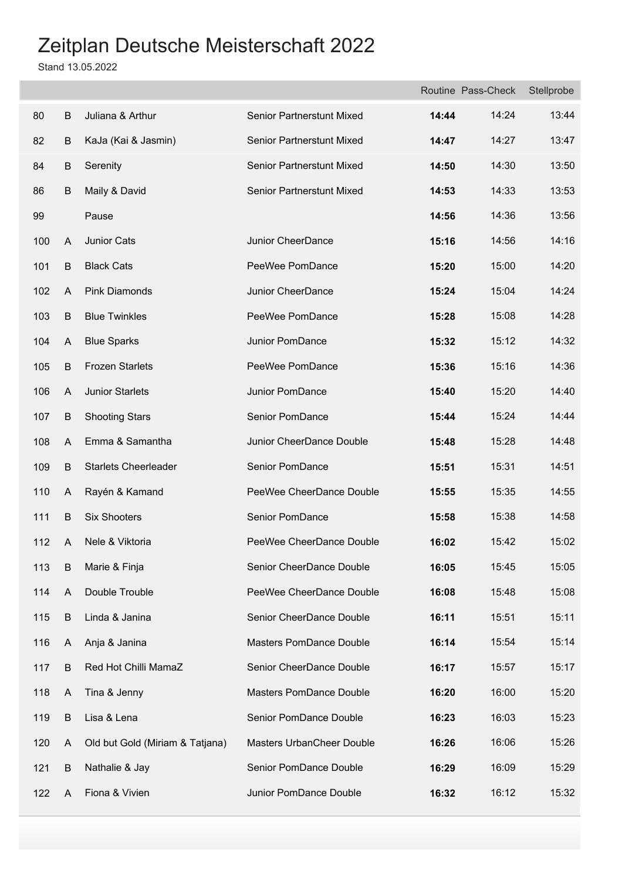|     |                         |                                 |                                  |       | Routine Pass-Check | Stellprobe |
|-----|-------------------------|---------------------------------|----------------------------------|-------|--------------------|------------|
| 80  | B                       | Juliana & Arthur                | Senior Partnerstunt Mixed        | 14:44 | 14:24              | 13:44      |
| 82  | B                       | KaJa (Kai & Jasmin)             | <b>Senior Partnerstunt Mixed</b> | 14:47 | 14:27              | 13:47      |
| 84  | B                       | Serenity                        | Senior Partnerstunt Mixed        | 14:50 | 14:30              | 13:50      |
| 86  | B                       | Maily & David                   | Senior Partnerstunt Mixed        | 14:53 | 14:33              | 13:53      |
| 99  |                         | Pause                           |                                  | 14:56 | 14:36              | 13:56      |
| 100 | $\overline{\mathsf{A}}$ | Junior Cats                     | Junior CheerDance                | 15:16 | 14:56              | 14:16      |
| 101 | B                       | <b>Black Cats</b>               | PeeWee PomDance                  | 15:20 | 15:00              | 14:20      |
| 102 | A                       | <b>Pink Diamonds</b>            | Junior CheerDance                | 15:24 | 15:04              | 14:24      |
| 103 | $\sf B$                 | <b>Blue Twinkles</b>            | PeeWee PomDance                  | 15:28 | 15:08              | 14:28      |
| 104 | A                       | <b>Blue Sparks</b>              | Junior PomDance                  | 15:32 | 15:12              | 14:32      |
| 105 | $\sf B$                 | <b>Frozen Starlets</b>          | PeeWee PomDance                  | 15:36 | 15:16              | 14:36      |
| 106 | A                       | Junior Starlets                 | Junior PomDance                  | 15:40 | 15:20              | 14:40      |
| 107 | $\mathsf B$             | <b>Shooting Stars</b>           | Senior PomDance                  | 15:44 | 15:24              | 14:44      |
| 108 | A                       | Emma & Samantha                 | Junior CheerDance Double         | 15:48 | 15:28              | 14:48      |
| 109 | B                       | <b>Starlets Cheerleader</b>     | Senior PomDance                  | 15:51 | 15:31              | 14:51      |
| 110 | A                       | Rayén & Kamand                  | PeeWee CheerDance Double         | 15:55 | 15:35              | 14:55      |
| 111 | B                       | <b>Six Shooters</b>             | Senior PomDance                  | 15:58 | 15:38              | 14:58      |
| 112 | A                       | Nele & Viktoria                 | PeeWee CheerDance Double         | 16:02 | 15:42              | 15:02      |
| 113 | B                       | Marie & Finja                   | Senior CheerDance Double         | 16:05 | 15:45              | 15:05      |
| 114 | A                       | Double Trouble                  | PeeWee CheerDance Double         | 16:08 | 15:48              | 15:08      |
| 115 | B                       | Linda & Janina                  | Senior CheerDance Double         | 16:11 | 15:51              | 15:11      |
| 116 | A                       | Anja & Janina                   | <b>Masters PomDance Double</b>   | 16:14 | 15:54              | 15:14      |
| 117 | B                       | Red Hot Chilli MamaZ            | Senior CheerDance Double         | 16:17 | 15:57              | 15:17      |
| 118 | A                       | Tina & Jenny                    | Masters PomDance Double          | 16:20 | 16:00              | 15:20      |
| 119 | B                       | Lisa & Lena                     | Senior PomDance Double           | 16:23 | 16:03              | 15:23      |
| 120 | A                       | Old but Gold (Miriam & Tatjana) | Masters UrbanCheer Double        | 16:26 | 16:06              | 15:26      |
| 121 | B                       | Nathalie & Jay                  | Senior PomDance Double           | 16:29 | 16:09              | 15:29      |
| 122 | A                       | Fiona & Vivien                  | Junior PomDance Double           | 16:32 | 16:12              | 15:32      |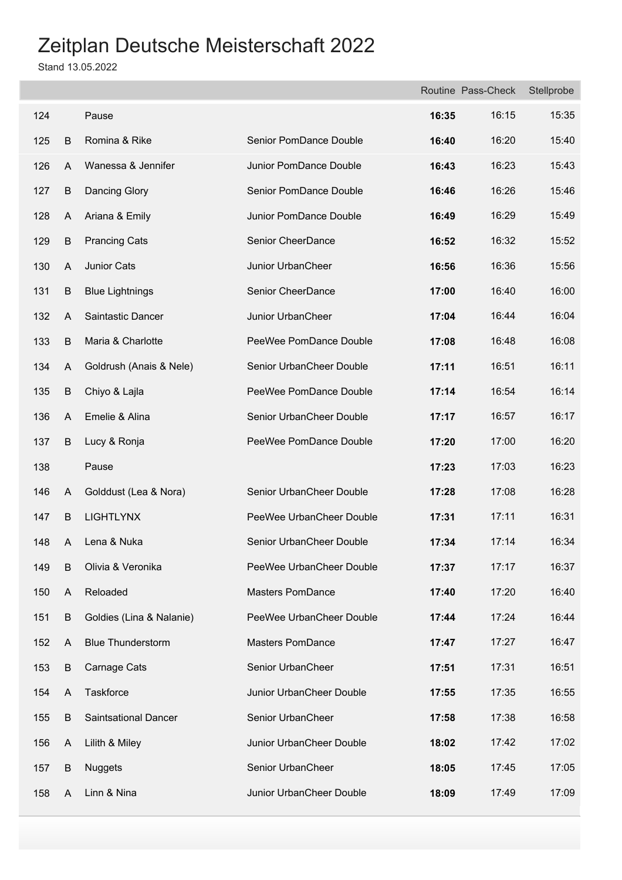|     |         |                             |                          |       | Routine Pass-Check | Stellprobe |
|-----|---------|-----------------------------|--------------------------|-------|--------------------|------------|
| 124 |         | Pause                       |                          | 16:35 | 16:15              | 15:35      |
| 125 | B       | Romina & Rike               | Senior PomDance Double   | 16:40 | 16:20              | 15:40      |
| 126 | A       | Wanessa & Jennifer          | Junior PomDance Double   | 16:43 | 16:23              | 15:43      |
| 127 | B       | Dancing Glory               | Senior PomDance Double   | 16:46 | 16:26              | 15:46      |
| 128 | A       | Ariana & Emily              | Junior PomDance Double   | 16:49 | 16:29              | 15:49      |
| 129 | $\sf B$ | <b>Prancing Cats</b>        | Senior CheerDance        | 16:52 | 16:32              | 15:52      |
| 130 | A       | Junior Cats                 | Junior UrbanCheer        | 16:56 | 16:36              | 15:56      |
| 131 | $\sf B$ | <b>Blue Lightnings</b>      | Senior CheerDance        | 17:00 | 16:40              | 16:00      |
| 132 | A       | Saintastic Dancer           | Junior UrbanCheer        | 17:04 | 16:44              | 16:04      |
| 133 | $\sf B$ | Maria & Charlotte           | PeeWee PomDance Double   | 17:08 | 16:48              | 16:08      |
| 134 | A       | Goldrush (Anais & Nele)     | Senior UrbanCheer Double | 17:11 | 16:51              | 16:11      |
| 135 | $\sf B$ | Chiyo & Lajla               | PeeWee PomDance Double   | 17:14 | 16:54              | 16:14      |
| 136 | A       | Emelie & Alina              | Senior UrbanCheer Double | 17:17 | 16:57              | 16:17      |
| 137 | B       | Lucy & Ronja                | PeeWee PomDance Double   | 17:20 | 17:00              | 16:20      |
| 138 |         | Pause                       |                          | 17:23 | 17:03              | 16:23      |
| 146 | A       | Golddust (Lea & Nora)       | Senior UrbanCheer Double | 17:28 | 17:08              | 16:28      |
| 147 | B       | <b>LIGHTLYNX</b>            | PeeWee UrbanCheer Double | 17:31 | 17:11              | 16:31      |
| 148 | A       | Lena & Nuka                 | Senior UrbanCheer Double | 17:34 | 17:14              | 16:34      |
| 149 | B       | Olivia & Veronika           | PeeWee UrbanCheer Double | 17:37 | 17:17              | 16:37      |
| 150 | A       | Reloaded                    | <b>Masters PomDance</b>  | 17:40 | 17:20              | 16:40      |
| 151 | B       | Goldies (Lina & Nalanie)    | PeeWee UrbanCheer Double | 17:44 | 17:24              | 16:44      |
| 152 | A       | <b>Blue Thunderstorm</b>    | <b>Masters PomDance</b>  | 17:47 | 17:27              | 16:47      |
| 153 | B       | Carnage Cats                | Senior UrbanCheer        | 17:51 | 17:31              | 16:51      |
| 154 | A       | Taskforce                   | Junior UrbanCheer Double | 17:55 | 17:35              | 16:55      |
| 155 | B       | <b>Saintsational Dancer</b> | Senior UrbanCheer        | 17:58 | 17:38              | 16:58      |
| 156 | A       | Lilith & Miley              | Junior UrbanCheer Double | 18:02 | 17:42              | 17:02      |
| 157 | B       | <b>Nuggets</b>              | Senior UrbanCheer        | 18:05 | 17:45              | 17:05      |
| 158 | A       | Linn & Nina                 | Junior UrbanCheer Double | 18:09 | 17:49              | 17:09      |